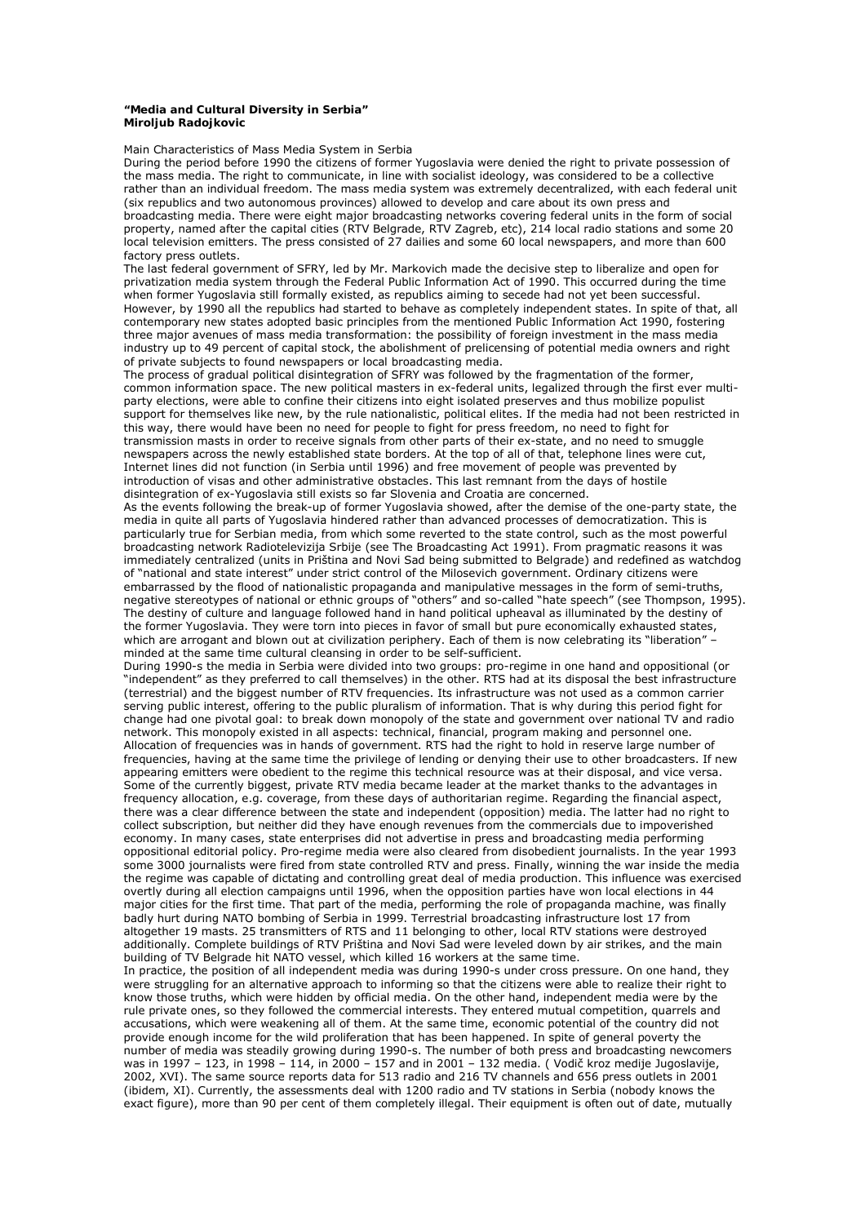## **"Media and Cultural Diversity in Serbia" Miroljub Radojkovic**

Main Characteristics of Mass Media System in Serbia

During the period before 1990 the citizens of former Yugoslavia were denied the right to private possession of the mass media. The right to communicate, in line with socialist ideology, was considered to be a collective rather than an individual freedom. The mass media system was extremely decentralized, with each federal unit (six republics and two autonomous provinces) allowed to develop and care about its own press and broadcasting media. There were eight major broadcasting networks covering federal units in the form of social property, named after the capital cities (RTV Belgrade, RTV Zagreb, etc), 214 local radio stations and some 20 local television emitters. The press consisted of 27 dailies and some 60 local newspapers, and more than 600 factory press outlets.

The last federal government of SFRY, led by Mr. Markovich made the decisive step to liberalize and open for privatization media system through the Federal Public Information Act of 1990. This occurred during the time when former Yugoslavia still formally existed, as republics aiming to secede had not yet been successful. However, by 1990 all the republics had started to behave as completely independent states. In spite of that, all contemporary new states adopted basic principles from the mentioned Public Information Act 1990, fostering three major avenues of mass media transformation: the possibility of foreign investment in the mass media industry up to 49 percent of capital stock, the abolishment of prelicensing of potential media owners and right of private subjects to found newspapers or local broadcasting media.

The process of gradual political disintegration of SFRY was followed by the fragmentation of the former, common information space. The new political masters in ex-federal units, legalized through the first ever multiparty elections, were able to confine their citizens into eight isolated preserves and thus mobilize populist support for themselves like new, by the rule nationalistic, political elites. If the media had not been restricted in this way, there would have been no need for people to fight for press freedom, no need to fight for transmission masts in order to receive signals from other parts of their ex-state, and no need to smuggle newspapers across the newly established state borders. At the top of all of that, telephone lines were cut, Internet lines did not function (in Serbia until 1996) and free movement of people was prevented by introduction of visas and other administrative obstacles. This last remnant from the days of hostile disintegration of ex-Yugoslavia still exists so far Slovenia and Croatia are concerned.

As the events following the break-up of former Yugoslavia showed, after the demise of the one-party state, the media in quite all parts of Yugoslavia hindered rather than advanced processes of democratization. This is particularly true for Serbian media, from which some reverted to the state control, such as the most powerful broadcasting network Radiotelevizija Srbije (see The Broadcasting Act 1991). From pragmatic reasons it was immediately centralized (units in Priština and Novi Sad being submitted to Belgrade) and redefined as watchdog of "national and state interest" under strict control of the Milosevich government. Ordinary citizens were embarrassed by the flood of nationalistic propaganda and manipulative messages in the form of semi-truths, negative stereotypes of national or ethnic groups of "others" and so-called "hate speech" (see Thompson, 1995). The destiny of culture and language followed hand in hand political upheaval as illuminated by the destiny of the former Yugoslavia. They were torn into pieces in favor of small but pure economically exhausted states, which are arrogant and blown out at civilization periphery. Each of them is now celebrating its "liberation" – minded at the same time cultural cleansing in order to be self-sufficient.

During 1990-s the media in Serbia were divided into two groups: pro-regime in one hand and oppositional (or "independent" as they preferred to call themselves) in the other. RTS had at its disposal the best infrastructure (terrestrial) and the biggest number of RTV frequencies. Its infrastructure was not used as a common carrier serving public interest, offering to the public pluralism of information. That is why during this period fight for change had one pivotal goal: to break down monopoly of the state and government over national TV and radio network. This monopoly existed in all aspects: technical, financial, program making and personnel one. Allocation of frequencies was in hands of government. RTS had the right to hold in reserve large number of frequencies, having at the same time the privilege of lending or denying their use to other broadcasters. If new appearing emitters were obedient to the regime this technical resource was at their disposal, and vice versa. Some of the currently biggest, private RTV media became leader at the market thanks to the advantages in frequency allocation, e.g. coverage, from these days of authoritarian regime. Regarding the financial aspect, there was a clear difference between the state and independent (opposition) media. The latter had no right to collect subscription, but neither did they have enough revenues from the commercials due to impoverished economy. In many cases, state enterprises did not advertise in press and broadcasting media performing oppositional editorial policy. Pro-regime media were also cleared from disobedient journalists. In the year 1993 some 3000 journalists were fired from state controlled RTV and press. Finally, winning the war inside the media the regime was capable of dictating and controlling great deal of media production. This influence was exercised overtly during all election campaigns until 1996, when the opposition parties have won local elections in 44 major cities for the first time. That part of the media, performing the role of propaganda machine, was finally badly hurt during NATO bombing of Serbia in 1999. Terrestrial broadcasting infrastructure lost 17 from altogether 19 masts. 25 transmitters of RTS and 11 belonging to other, local RTV stations were destroyed additionally. Complete buildings of RTV Priština and Novi Sad were leveled down by air strikes, and the main building of TV Belgrade hit NATO vessel, which killed 16 workers at the same time.

In practice, the position of all independent media was during 1990-s under cross pressure. On one hand, they were struggling for an alternative approach to informing so that the citizens were able to realize their right to know those truths, which were hidden by official media. On the other hand, independent media were by the rule private ones, so they followed the commercial interests. They entered mutual competition, quarrels and accusations, which were weakening all of them. At the same time, economic potential of the country did not provide enough income for the wild proliferation that has been happened. In spite of general poverty the number of media was steadily growing during 1990-s. The number of both press and broadcasting newcomers was in 1997 – 123, in 1998 – 114, in 2000 – 157 and in 2001 – 132 media. ( Vodič kroz medije Jugoslavije, 2002, XVI). The same source reports data for 513 radio and 216 TV channels and 656 press outlets in 2001 (ibidem, XI). Currently, the assessments deal with 1200 radio and TV stations in Serbia (nobody knows the exact figure), more than 90 per cent of them completely illegal. Their equipment is often out of date, mutually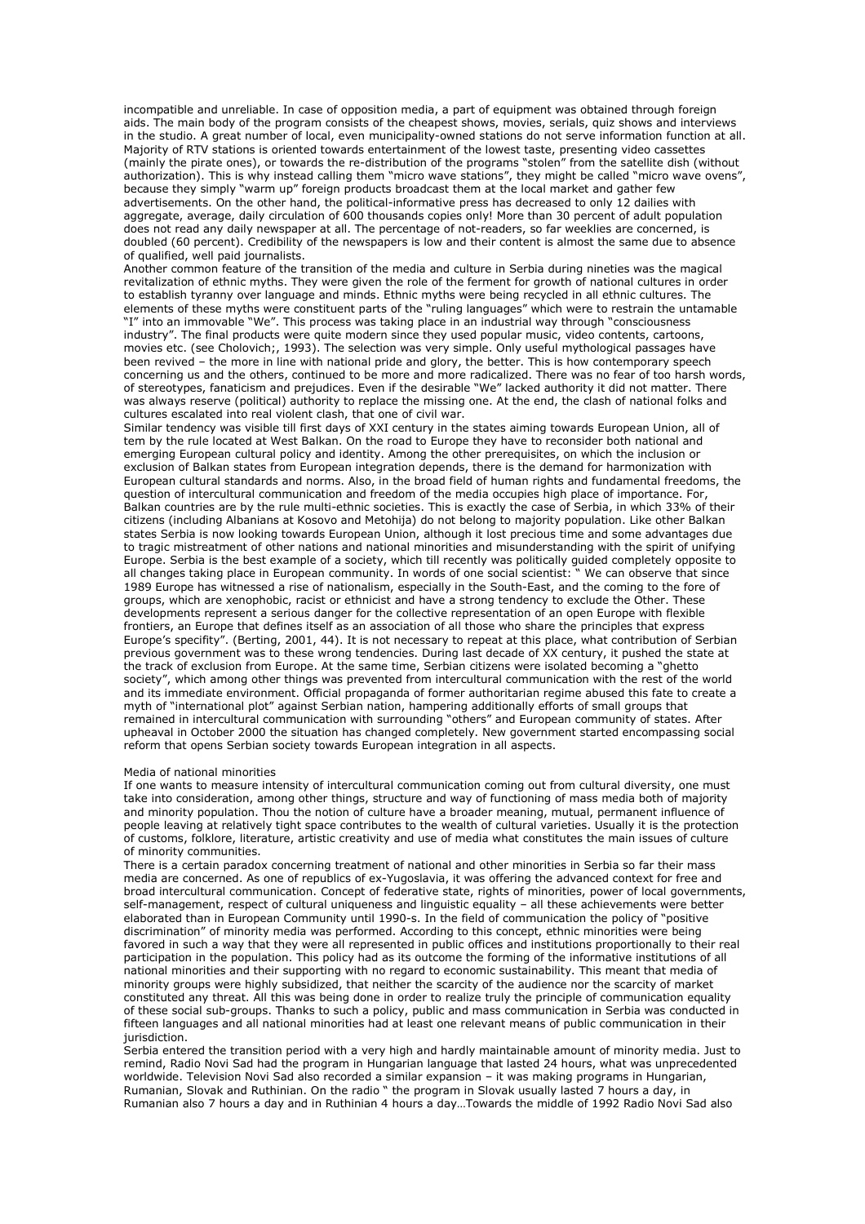incompatible and unreliable. In case of opposition media, a part of equipment was obtained through foreign aids. The main body of the program consists of the cheapest shows, movies, serials, quiz shows and interviews in the studio. A great number of local, even municipality-owned stations do not serve information function at all. Majority of RTV stations is oriented towards entertainment of the lowest taste, presenting video cassettes (mainly the pirate ones), or towards the re-distribution of the programs "stolen" from the satellite dish (without authorization). This is why instead calling them "micro wave stations", they might be called "micro wave ovens", because they simply "warm up" foreign products broadcast them at the local market and gather few advertisements. On the other hand, the political-informative press has decreased to only 12 dailies with aggregate, average, daily circulation of 600 thousands copies only! More than 30 percent of adult population does not read any daily newspaper at all. The percentage of not-readers, so far weeklies are concerned, is doubled (60 percent). Credibility of the newspapers is low and their content is almost the same due to absence of qualified, well paid journalists.

Another common feature of the transition of the media and culture in Serbia during nineties was the magical revitalization of ethnic myths. They were given the role of the ferment for growth of national cultures in order to establish tyranny over language and minds. Ethnic myths were being recycled in all ethnic cultures. The elements of these myths were constituent parts of the "ruling languages" which were to restrain the untamable "I" into an immovable "We". This process was taking place in an industrial way through "consciousness industry". The final products were quite modern since they used popular music, video contents, cartoons, movies etc. (see Cholovich;, 1993). The selection was very simple. Only useful mythological passages have been revived – the more in line with national pride and glory, the better. This is how contemporary speech concerning us and the others, continued to be more and more radicalized. There was no fear of too harsh words, of stereotypes, fanaticism and prejudices. Even if the desirable "We" lacked authority it did not matter. There was always reserve (political) authority to replace the missing one. At the end, the clash of national folks and cultures escalated into real violent clash, that one of civil war.

Similar tendency was visible till first days of XXI century in the states aiming towards European Union, all of tem by the rule located at West Balkan. On the road to Europe they have to reconsider both national and emerging European cultural policy and identity. Among the other prerequisites, on which the inclusion or exclusion of Balkan states from European integration depends, there is the demand for harmonization with European cultural standards and norms. Also, in the broad field of human rights and fundamental freedoms, the question of intercultural communication and freedom of the media occupies high place of importance. For, Balkan countries are by the rule multi-ethnic societies. This is exactly the case of Serbia, in which 33% of their citizens (including Albanians at Kosovo and Metohija) do not belong to majority population. Like other Balkan states Serbia is now looking towards European Union, although it lost precious time and some advantages due to tragic mistreatment of other nations and national minorities and misunderstanding with the spirit of unifying Europe. Serbia is the best example of a society, which till recently was politically guided completely opposite to all changes taking place in European community. In words of one social scientist: " We can observe that since 1989 Europe has witnessed a rise of nationalism, especially in the South-East, and the coming to the fore of groups, which are xenophobic, racist or ethnicist and have a strong tendency to exclude the Other. These developments represent a serious danger for the collective representation of an open Europe with flexible frontiers, an Europe that defines itself as an association of all those who share the principles that express Europe's specifity". (Berting, 2001, 44). It is not necessary to repeat at this place, what contribution of Serbian previous government was to these wrong tendencies. During last decade of XX century, it pushed the state at the track of exclusion from Europe. At the same time, Serbian citizens were isolated becoming a "ghetto society", which among other things was prevented from intercultural communication with the rest of the world and its immediate environment. Official propaganda of former authoritarian regime abused this fate to create a myth of "international plot" against Serbian nation, hampering additionally efforts of small groups that remained in intercultural communication with surrounding "others" and European community of states. After upheaval in October 2000 the situation has changed completely. New government started encompassing social reform that opens Serbian society towards European integration in all aspects.

# Media of national minorities

If one wants to measure intensity of intercultural communication coming out from cultural diversity, one must take into consideration, among other things, structure and way of functioning of mass media both of majority and minority population. Thou the notion of culture have a broader meaning, mutual, permanent influence of people leaving at relatively tight space contributes to the wealth of cultural varieties. Usually it is the protection of customs, folklore, literature, artistic creativity and use of media what constitutes the main issues of culture of minority communities.

There is a certain paradox concerning treatment of national and other minorities in Serbia so far their mass media are concerned. As one of republics of ex-Yugoslavia, it was offering the advanced context for free and broad intercultural communication. Concept of federative state, rights of minorities, power of local governments, self-management, respect of cultural uniqueness and linguistic equality – all these achievements were better elaborated than in European Community until 1990-s. In the field of communication the policy of "positive discrimination" of minority media was performed. According to this concept, ethnic minorities were being favored in such a way that they were all represented in public offices and institutions proportionally to their real participation in the population. This policy had as its outcome the forming of the informative institutions of all national minorities and their supporting with no regard to economic sustainability. This meant that media of minority groups were highly subsidized, that neither the scarcity of the audience nor the scarcity of market constituted any threat. All this was being done in order to realize truly the principle of communication equality of these social sub-groups. Thanks to such a policy, public and mass communication in Serbia was conducted in fifteen languages and all national minorities had at least one relevant means of public communication in their jurisdiction.

Serbia entered the transition period with a very high and hardly maintainable amount of minority media. Just to remind, Radio Novi Sad had the program in Hungarian language that lasted 24 hours, what was unprecedented worldwide. Television Novi Sad also recorded a similar expansion – it was making programs in Hungarian, Rumanian, Slovak and Ruthinian. On the radio " the program in Slovak usually lasted 7 hours a day, in Rumanian also 7 hours a day and in Ruthinian 4 hours a day…Towards the middle of 1992 Radio Novi Sad also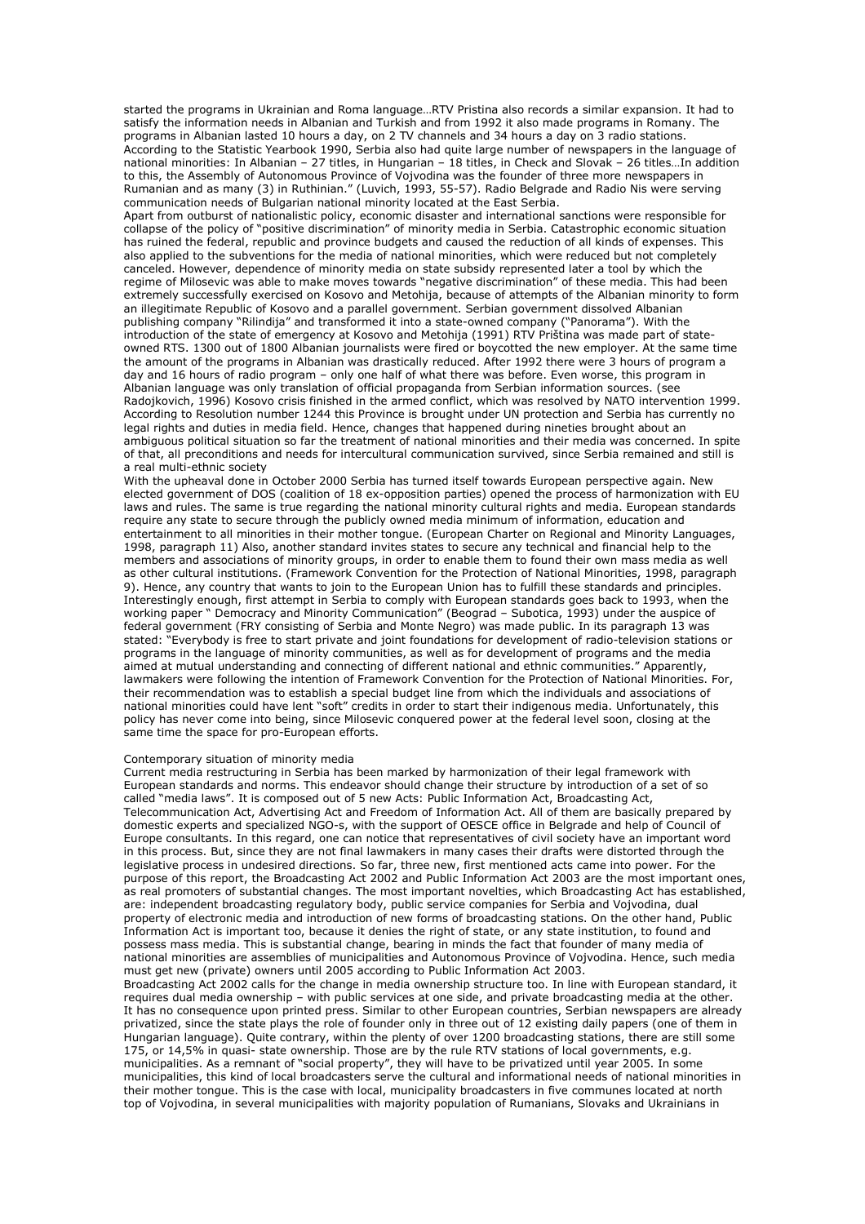started the programs in Ukrainian and Roma language…RTV Pristina also records a similar expansion. It had to satisfy the information needs in Albanian and Turkish and from 1992 it also made programs in Romany. The programs in Albanian lasted 10 hours a day, on 2 TV channels and 34 hours a day on 3 radio stations. According to the Statistic Yearbook 1990, Serbia also had quite large number of newspapers in the language of national minorities: In Albanian – 27 titles, in Hungarian – 18 titles, in Check and Slovak – 26 titles…In addition to this, the Assembly of Autonomous Province of Vojvodina was the founder of three more newspapers in Rumanian and as many (3) in Ruthinian." (Luvich, 1993, 55-57). Radio Belgrade and Radio Nis were serving communication needs of Bulgarian national minority located at the East Serbia.

Apart from outburst of nationalistic policy, economic disaster and international sanctions were responsible for collapse of the policy of "positive discrimination" of minority media in Serbia. Catastrophic economic situation has ruined the federal, republic and province budgets and caused the reduction of all kinds of expenses. This also applied to the subventions for the media of national minorities, which were reduced but not completely canceled. However, dependence of minority media on state subsidy represented later a tool by which the regime of Milosevic was able to make moves towards "negative discrimination" of these media. This had been extremely successfully exercised on Kosovo and Metohija, because of attempts of the Albanian minority to form an illegitimate Republic of Kosovo and a parallel government. Serbian government dissolved Albanian publishing company "Rilindija" and transformed it into a state-owned company ("Panorama"). With the introduction of the state of emergency at Kosovo and Metohija (1991) RTV Priština was made part of stateowned RTS. 1300 out of 1800 Albanian journalists were fired or boycotted the new employer. At the same time the amount of the programs in Albanian was drastically reduced. After 1992 there were 3 hours of program a day and 16 hours of radio program – only one half of what there was before. Even worse, this program in Albanian language was only translation of official propaganda from Serbian information sources. (see Radojkovich, 1996) Kosovo crisis finished in the armed conflict, which was resolved by NATO intervention 1999. According to Resolution number 1244 this Province is brought under UN protection and Serbia has currently no legal rights and duties in media field. Hence, changes that happened during nineties brought about an ambiguous political situation so far the treatment of national minorities and their media was concerned. In spite of that, all preconditions and needs for intercultural communication survived, since Serbia remained and still is a real multi-ethnic society

With the upheaval done in October 2000 Serbia has turned itself towards European perspective again. New elected government of DOS (coalition of 18 ex-opposition parties) opened the process of harmonization with EU laws and rules. The same is true regarding the national minority cultural rights and media. European standards require any state to secure through the publicly owned media minimum of information, education and entertainment to all minorities in their mother tongue. (European Charter on Regional and Minority Languages, 1998, paragraph 11) Also, another standard invites states to secure any technical and financial help to the members and associations of minority groups, in order to enable them to found their own mass media as well as other cultural institutions. (Framework Convention for the Protection of National Minorities, 1998, paragraph 9). Hence, any country that wants to join to the European Union has to fulfill these standards and principles. Interestingly enough, first attempt in Serbia to comply with European standards goes back to 1993, when the working paper " Democracy and Minority Communication" (Beograd – Subotica, 1993) under the auspice of federal government (FRY consisting of Serbia and Monte Negro) was made public. In its paragraph 13 was stated: "Everybody is free to start private and joint foundations for development of radio-television stations or programs in the language of minority communities, as well as for development of programs and the media aimed at mutual understanding and connecting of different national and ethnic communities." Apparently, lawmakers were following the intention of Framework Convention for the Protection of National Minorities. For, their recommendation was to establish a special budget line from which the individuals and associations of national minorities could have lent "soft" credits in order to start their indigenous media. Unfortunately, this policy has never come into being, since Milosevic conquered power at the federal level soon, closing at the same time the space for pro-European efforts.

### Contemporary situation of minority media

Current media restructuring in Serbia has been marked by harmonization of their legal framework with European standards and norms. This endeavor should change their structure by introduction of a set of so called "media laws". It is composed out of 5 new Acts: Public Information Act, Broadcasting Act, Telecommunication Act, Advertising Act and Freedom of Information Act. All of them are basically prepared by domestic experts and specialized NGO-s, with the support of OESCE office in Belgrade and help of Council of Europe consultants. In this regard, one can notice that representatives of civil society have an important word in this process. But, since they are not final lawmakers in many cases their drafts were distorted through the legislative process in undesired directions. So far, three new, first mentioned acts came into power. For the purpose of this report, the Broadcasting Act 2002 and Public Information Act 2003 are the most important ones, as real promoters of substantial changes. The most important novelties, which Broadcasting Act has established, are: independent broadcasting regulatory body, public service companies for Serbia and Vojvodina, dual property of electronic media and introduction of new forms of broadcasting stations. On the other hand, Public Information Act is important too, because it denies the right of state, or any state institution, to found and possess mass media. This is substantial change, bearing in minds the fact that founder of many media of national minorities are assemblies of municipalities and Autonomous Province of Vojvodina. Hence, such media must get new (private) owners until 2005 according to Public Information Act 2003.

Broadcasting Act 2002 calls for the change in media ownership structure too. In line with European standard, it requires dual media ownership – with public services at one side, and private broadcasting media at the other. It has no consequence upon printed press. Similar to other European countries, Serbian newspapers are already privatized, since the state plays the role of founder only in three out of 12 existing daily papers (one of them in Hungarian language). Quite contrary, within the plenty of over 1200 broadcasting stations, there are still some 175, or 14,5% in quasi- state ownership. Those are by the rule RTV stations of local governments, e.g. municipalities. As a remnant of "social property", they will have to be privatized until year 2005. In some municipalities, this kind of local broadcasters serve the cultural and informational needs of national minorities in their mother tongue. This is the case with local, municipality broadcasters in five communes located at north top of Vojvodina, in several municipalities with majority population of Rumanians, Slovaks and Ukrainians in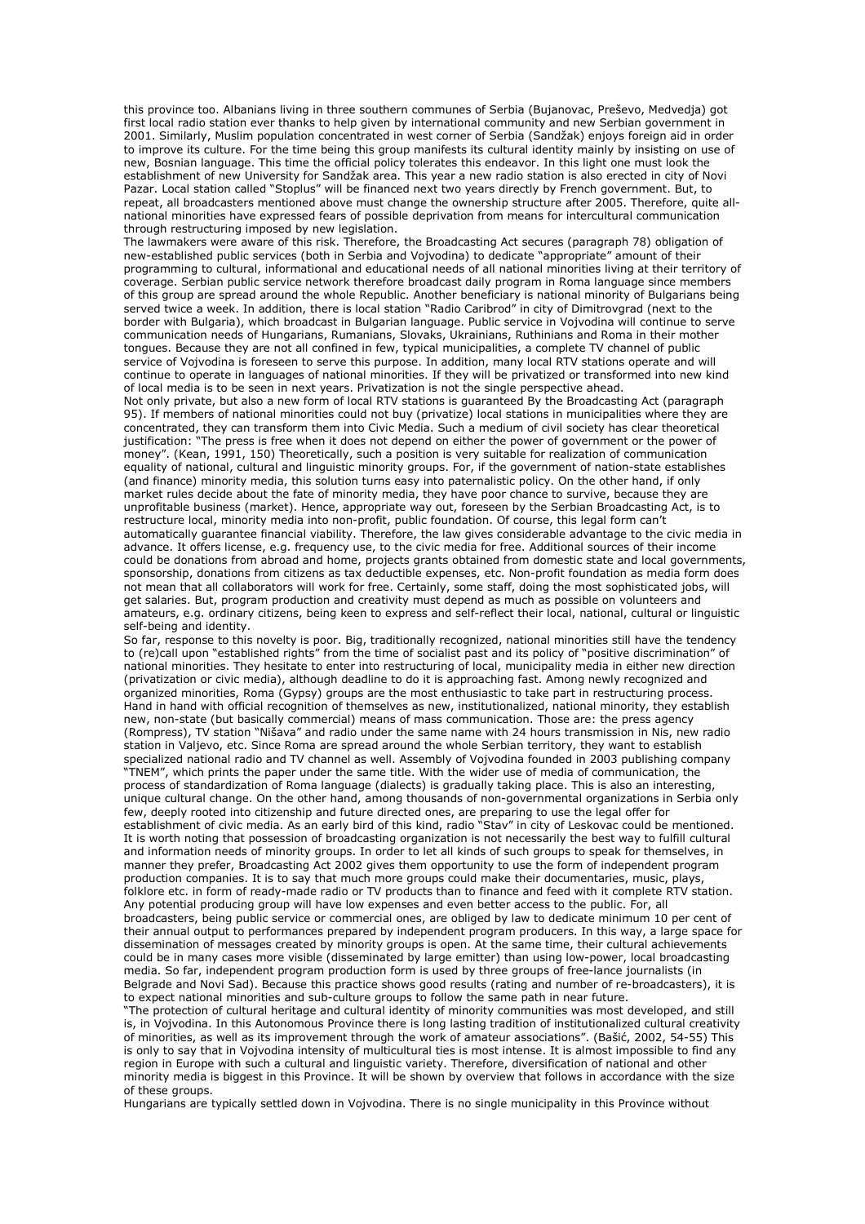this province too. Albanians living in three southern communes of Serbia (Bujanovac, Preševo, Medvedja) got first local radio station ever thanks to help given by international community and new Serbian government in 2001. Similarly, Muslim population concentrated in west corner of Serbia (Sandžak) enjoys foreign aid in order to improve its culture. For the time being this group manifests its cultural identity mainly by insisting on use of new, Bosnian language. This time the official policy tolerates this endeavor. In this light one must look the establishment of new University for Sandžak area. This year a new radio station is also erected in city of Novi Pazar. Local station called "Stoplus" will be financed next two years directly by French government. But, to repeat, all broadcasters mentioned above must change the ownership structure after 2005. Therefore, quite allnational minorities have expressed fears of possible deprivation from means for intercultural communication through restructuring imposed by new legislation.

The lawmakers were aware of this risk. Therefore, the Broadcasting Act secures (paragraph 78) obligation of new-established public services (both in Serbia and Vojvodina) to dedicate "appropriate" amount of their programming to cultural, informational and educational needs of all national minorities living at their territory of coverage. Serbian public service network therefore broadcast daily program in Roma language since members of this group are spread around the whole Republic. Another beneficiary is national minority of Bulgarians being served twice a week. In addition, there is local station "Radio Caribrod" in city of Dimitrovgrad (next to the border with Bulgaria), which broadcast in Bulgarian language. Public service in Vojvodina will continue to serve communication needs of Hungarians, Rumanians, Slovaks, Ukrainians, Ruthinians and Roma in their mother tongues. Because they are not all confined in few, typical municipalities, a complete TV channel of public service of Vojvodina is foreseen to serve this purpose. In addition, many local RTV stations operate and will continue to operate in languages of national minorities. If they will be privatized or transformed into new kind of local media is to be seen in next years. Privatization is not the single perspective ahead.

Not only private, but also a new form of local RTV stations is guaranteed By the Broadcasting Act (paragraph 95). If members of national minorities could not buy (privatize) local stations in municipalities where they are concentrated, they can transform them into Civic Media. Such a medium of civil society has clear theoretical justification: "The press is free when it does not depend on either the power of government or the power of money". (Kean, 1991, 150) Theoretically, such a position is very suitable for realization of communication equality of national, cultural and linguistic minority groups. For, if the government of nation-state establishes (and finance) minority media, this solution turns easy into paternalistic policy. On the other hand, if only market rules decide about the fate of minority media, they have poor chance to survive, because they are unprofitable business (market). Hence, appropriate way out, foreseen by the Serbian Broadcasting Act, is to restructure local, minority media into non-profit, public foundation. Of course, this legal form can't automatically guarantee financial viability. Therefore, the law gives considerable advantage to the civic media in advance. It offers license, e.g. frequency use, to the civic media for free. Additional sources of their income could be donations from abroad and home, projects grants obtained from domestic state and local governments, sponsorship, donations from citizens as tax deductible expenses, etc. Non-profit foundation as media form does not mean that all collaborators will work for free. Certainly, some staff, doing the most sophisticated jobs, will get salaries. But, program production and creativity must depend as much as possible on volunteers and amateurs, e.g. ordinary citizens, being keen to express and self-reflect their local, national, cultural or linguistic self-being and identity.

So far, response to this novelty is poor. Big, traditionally recognized, national minorities still have the tendency to (re)call upon "established rights" from the time of socialist past and its policy of "positive discrimination" of national minorities. They hesitate to enter into restructuring of local, municipality media in either new direction (privatization or civic media), although deadline to do it is approaching fast. Among newly recognized and organized minorities, Roma (Gypsy) groups are the most enthusiastic to take part in restructuring process. Hand in hand with official recognition of themselves as new, institutionalized, national minority, they establish new, non-state (but basically commercial) means of mass communication. Those are: the press agency (Rompress), TV station "Nišava" and radio under the same name with 24 hours transmission in Nis, new radio station in Valjevo, etc. Since Roma are spread around the whole Serbian territory, they want to establish specialized national radio and TV channel as well. Assembly of Vojvodina founded in 2003 publishing company "TNEM", which prints the paper under the same title. With the wider use of media of communication, the process of standardization of Roma language (dialects) is gradually taking place. This is also an interesting, unique cultural change. On the other hand, among thousands of non-governmental organizations in Serbia only few, deeply rooted into citizenship and future directed ones, are preparing to use the legal offer for establishment of civic media. As an early bird of this kind, radio "Stav" in city of Leskovac could be mentioned. It is worth noting that possession of broadcasting organization is not necessarily the best way to fulfill cultural and information needs of minority groups. In order to let all kinds of such groups to speak for themselves, in manner they prefer, Broadcasting Act 2002 gives them opportunity to use the form of independent program production companies. It is to say that much more groups could make their documentaries, music, plays, folklore etc. in form of ready-made radio or TV products than to finance and feed with it complete RTV station. Any potential producing group will have low expenses and even better access to the public. For, all broadcasters, being public service or commercial ones, are obliged by law to dedicate minimum 10 per cent of their annual output to performances prepared by independent program producers. In this way, a large space for dissemination of messages created by minority groups is open. At the same time, their cultural achievements could be in many cases more visible (disseminated by large emitter) than using low-power, local broadcasting media. So far, independent program production form is used by three groups of free-lance journalists (in Belgrade and Novi Sad). Because this practice shows good results (rating and number of re-broadcasters), it is to expect national minorities and sub-culture groups to follow the same path in near future.

"The protection of cultural heritage and cultural identity of minority communities was most developed, and still is, in Vojvodina. In this Autonomous Province there is long lasting tradition of institutionalized cultural creativity of minorities, as well as its improvement through the work of amateur associations". (Bašić, 2002, 54-55) This is only to say that in Vojvodina intensity of multicultural ties is most intense. It is almost impossible to find any region in Europe with such a cultural and linguistic variety. Therefore, diversification of national and other minority media is biggest in this Province. It will be shown by overview that follows in accordance with the size of these groups.

Hungarians are typically settled down in Vojvodina. There is no single municipality in this Province without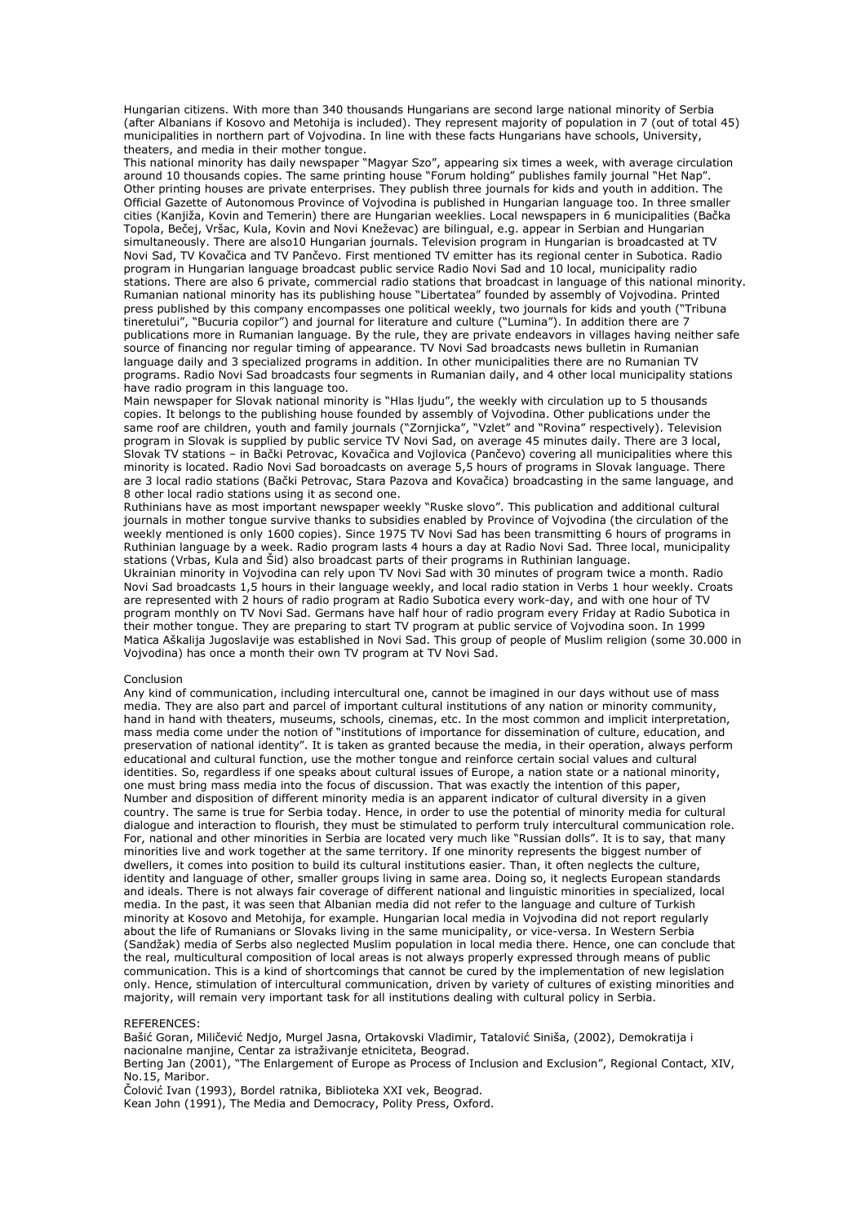Hungarian citizens. With more than 340 thousands Hungarians are second large national minority of Serbia (after Albanians if Kosovo and Metohija is included). They represent majority of population in 7 (out of total 45) municipalities in northern part of Vojvodina. In line with these facts Hungarians have schools, University, theaters, and media in their mother tongue.

This national minority has daily newspaper "Magyar Szo", appearing six times a week, with average circulation around 10 thousands copies. The same printing house "Forum holding" publishes family journal "Het Nap". Other printing houses are private enterprises. They publish three journals for kids and youth in addition. The Official Gazette of Autonomous Province of Vojvodina is published in Hungarian language too. In three smaller cities (Kanjiža, Kovin and Temerin) there are Hungarian weeklies. Local newspapers in 6 municipalities (Bačka Topola, Bečej, Vršac, Kula, Kovin and Novi Kneževac) are bilingual, e.g. appear in Serbian and Hungarian simultaneously. There are also10 Hungarian journals. Television program in Hungarian is broadcasted at TV Novi Sad, TV Kovačica and TV Pančevo. First mentioned TV emitter has its regional center in Subotica. Radio program in Hungarian language broadcast public service Radio Novi Sad and 10 local, municipality radio stations. There are also 6 private, commercial radio stations that broadcast in language of this national minority. Rumanian national minority has its publishing house "Libertatea" founded by assembly of Vojvodina. Printed press published by this company encompasses one political weekly, two journals for kids and youth ("Tribuna tineretului", "Bucuria copilor") and journal for literature and culture ("Lumina"). In addition there are 7 publications more in Rumanian language. By the rule, they are private endeavors in villages having neither safe source of financing nor regular timing of appearance. TV Novi Sad broadcasts news bulletin in Rumanian language daily and 3 specialized programs in addition. In other municipalities there are no Rumanian TV programs. Radio Novi Sad broadcasts four segments in Rumanian daily, and 4 other local municipality stations have radio program in this language too.

Main newspaper for Slovak national minority is "Hlas ljudu", the weekly with circulation up to 5 thousands copies. It belongs to the publishing house founded by assembly of Vojvodina. Other publications under the same roof are children, youth and family journals ("Zornjicka", "Vzlet" and "Rovina" respectively). Television program in Slovak is supplied by public service TV Novi Sad, on average 45 minutes daily. There are 3 local, Slovak TV stations – in Bački Petrovac, Kovačica and Vojlovica (Pančevo) covering all municipalities where this minority is located. Radio Novi Sad boroadcasts on average 5,5 hours of programs in Slovak language. There are 3 local radio stations (Bački Petrovac, Stara Pazova and Kovačica) broadcasting in the same language, and 8 other local radio stations using it as second one.

Ruthinians have as most important newspaper weekly "Ruske slovo". This publication and additional cultural journals in mother tongue survive thanks to subsidies enabled by Province of Vojvodina (the circulation of the weekly mentioned is only 1600 copies). Since 1975 TV Novi Sad has been transmitting 6 hours of programs in Ruthinian language by a week. Radio program lasts 4 hours a day at Radio Novi Sad. Three local, municipality stations (Vrbas, Kula and Šid) also broadcast parts of their programs in Ruthinian language.

Ukrainian minority in Vojvodina can rely upon TV Novi Sad with 30 minutes of program twice a month. Radio Novi Sad broadcasts 1,5 hours in their language weekly, and local radio station in Verbs 1 hour weekly. Croats are represented with 2 hours of radio program at Radio Subotica every work-day, and with one hour of TV program monthly on TV Novi Sad. Germans have half hour of radio program every Friday at Radio Subotica in their mother tongue. They are preparing to start TV program at public service of Vojvodina soon. In 1999 Matica Aškalija Jugoslavije was established in Novi Sad. This group of people of Muslim religion (some 30.000 in Vojvodina) has once a month their own TV program at TV Novi Sad.

## Conclusion

Any kind of communication, including intercultural one, cannot be imagined in our days without use of mass media. They are also part and parcel of important cultural institutions of any nation or minority community, hand in hand with theaters, museums, schools, cinemas, etc. In the most common and implicit interpretation, mass media come under the notion of "institutions of importance for dissemination of culture, education, and preservation of national identity". It is taken as granted because the media, in their operation, always perform educational and cultural function, use the mother tongue and reinforce certain social values and cultural identities. So, regardless if one speaks about cultural issues of Europe, a nation state or a national minority, one must bring mass media into the focus of discussion. That was exactly the intention of this paper, Number and disposition of different minority media is an apparent indicator of cultural diversity in a given country. The same is true for Serbia today. Hence, in order to use the potential of minority media for cultural dialogue and interaction to flourish, they must be stimulated to perform truly intercultural communication role. For, national and other minorities in Serbia are located very much like "Russian dolls". It is to say, that many minorities live and work together at the same territory. If one minority represents the biggest number of dwellers, it comes into position to build its cultural institutions easier. Than, it often neglects the culture, identity and language of other, smaller groups living in same area. Doing so, it neglects European standards and ideals. There is not always fair coverage of different national and linguistic minorities in specialized, local media. In the past, it was seen that Albanian media did not refer to the language and culture of Turkish minority at Kosovo and Metohija, for example. Hungarian local media in Vojvodina did not report regularly about the life of Rumanians or Slovaks living in the same municipality, or vice-versa. In Western Serbia (Sandžak) media of Serbs also neglected Muslim population in local media there. Hence, one can conclude that the real, multicultural composition of local areas is not always properly expressed through means of public communication. This is a kind of shortcomings that cannot be cured by the implementation of new legislation only. Hence, stimulation of intercultural communication, driven by variety of cultures of existing minorities and majority, will remain very important task for all institutions dealing with cultural policy in Serbia.

### REFERENCES:

Bašić Goran, Miličević Nedjo, Murgel Jasna, Ortakovski Vladimir, Tatalović Siniša, (2002), Demokratija i nacionalne manjine, Centar za istraživanje etniciteta, Beograd.

Berting Jan (2001), "The Enlargement of Europe as Process of Inclusion and Exclusion", Regional Contact, XIV, No.15, Maribor.

Čolović Ivan (1993), Bordel ratnika, Biblioteka XXI vek, Beograd.

Kean John (1991), The Media and Democracy, Polity Press, Oxford.